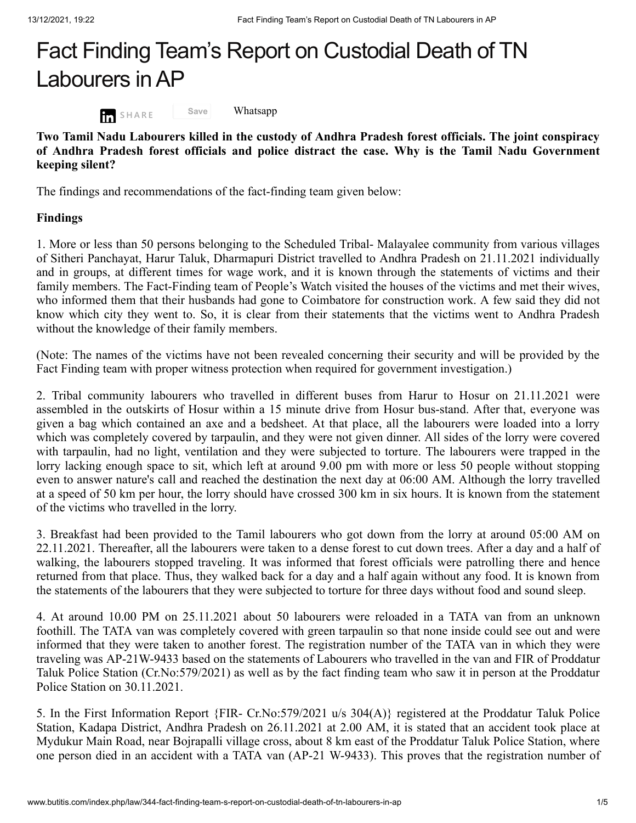## Fact Finding Team's Report on Custodial Death of TN Labourers inAP



[Whatsapp](javascript:void(0))

**Two Tamil Nadu Labourers killed in the custody of Andhra Pradesh forest officials. The joint conspiracy of Andhra Pradesh forest officials and police distract the case. Why is the Tamil Nadu Government keeping silent?**

The findings and recommendations of the fact-finding team given below:

**Save**

## **Findings**

1. More or less than 50 persons belonging to the Scheduled Tribal- Malayalee community from various villages of Sitheri Panchayat, Harur Taluk, Dharmapuri District travelled to Andhra Pradesh on 21.11.2021 individually and in groups, at different times for wage work, and it is known through the statements of victims and their family members. The Fact-Finding team of People's Watch visited the houses of the victims and met their wives, who informed them that their husbands had gone to Coimbatore for construction work. A few said they did not know which city they went to. So, it is clear from their statements that the victims went to Andhra Pradesh without the knowledge of their family members.

(Note: The names of the victims have not been revealed concerning their security and will be provided by the Fact Finding team with proper witness protection when required for government investigation.)

2. Tribal community labourers who travelled in different buses from Harur to Hosur on 21.11.2021 were assembled in the outskirts of Hosur within a 15 minute drive from Hosur bus-stand. After that, everyone was given a bag which contained an axe and a bedsheet. At that place, all the labourers were loaded into a lorry which was completely covered by tarpaulin, and they were not given dinner. All sides of the lorry were covered with tarpaulin, had no light, ventilation and they were subjected to torture. The labourers were trapped in the lorry lacking enough space to sit, which left at around 9.00 pm with more or less 50 people without stopping even to answer nature's call and reached the destination the next day at 06:00 AM. Although the lorry travelled at a speed of 50 km per hour, the lorry should have crossed 300 km in six hours. It is known from the statement of the victims who travelled in the lorry.

3. Breakfast had been provided to the Tamil labourers who got down from the lorry at around 05:00 AM on 22.11.2021. Thereafter, all the labourers were taken to a dense forest to cut down trees. After a day and a half of walking, the labourers stopped traveling. It was informed that forest officials were patrolling there and hence returned from that place. Thus, they walked back for a day and a half again without any food. It is known from the statements of the labourers that they were subjected to torture for three days without food and sound sleep.

4. At around 10.00 PM on 25.11.2021 about 50 labourers were reloaded in a TATA van from an unknown foothill. The TATA van was completely covered with green tarpaulin so that none inside could see out and were informed that they were taken to another forest. The registration number of the TATA van in which they were traveling was AP-21W-9433 based on the statements of Labourers who travelled in the van and FIR of Proddatur Taluk Police Station (Cr.No:579/2021) as well as by the fact finding team who saw it in person at the Proddatur Police Station on 30.11.2021.

5. In the First Information Report {FIR- Cr.No:579/2021 u/s 304(A)} registered at the Proddatur Taluk Police Station, Kadapa District, Andhra Pradesh on 26.11.2021 at 2.00 AM, it is stated that an accident took place at Mydukur Main Road, near Bojrapalli village cross, about 8 km east of the Proddatur Taluk Police Station, where one person died in an accident with a TATA van (AP-21 W-9433). This proves that the registration number of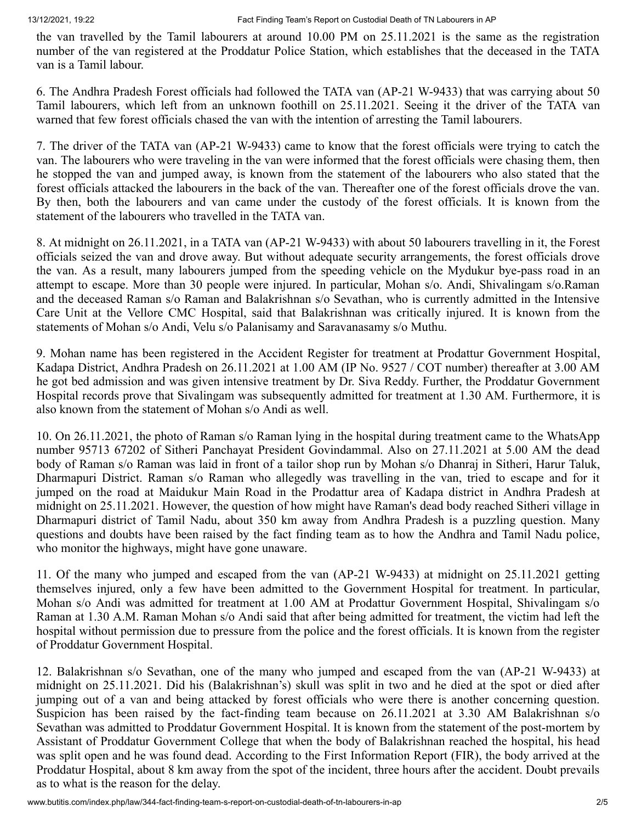the van travelled by the Tamil labourers at around 10.00 PM on 25.11.2021 is the same as the registration number of the van registered at the Proddatur Police Station, which establishes that the deceased in the TATA van is a Tamil labour.

6. The Andhra Pradesh Forest officials had followed the TATA van (AP-21 W-9433) that was carrying about 50 Tamil labourers, which left from an unknown foothill on 25.11.2021. Seeing it the driver of the TATA van warned that few forest officials chased the van with the intention of arresting the Tamil labourers.

7. The driver of the TATA van (AP-21 W-9433) came to know that the forest officials were trying to catch the van. The labourers who were traveling in the van were informed that the forest officials were chasing them, then he stopped the van and jumped away, is known from the statement of the labourers who also stated that the forest officials attacked the labourers in the back of the van. Thereafter one of the forest officials drove the van. By then, both the labourers and van came under the custody of the forest officials. It is known from the statement of the labourers who travelled in the TATA van.

8. At midnight on 26.11.2021, in a TATA van (AP-21 W-9433) with about 50 labourers travelling in it, the Forest officials seized the van and drove away. But without adequate security arrangements, the forest officials drove the van. As a result, many labourers jumped from the speeding vehicle on the Mydukur bye-pass road in an attempt to escape. More than 30 people were injured. In particular, Mohan s/o. Andi, Shivalingam s/o.Raman and the deceased Raman s/o Raman and Balakrishnan s/o Sevathan, who is currently admitted in the Intensive Care Unit at the Vellore CMC Hospital, said that Balakrishnan was critically injured. It is known from the statements of Mohan s/o Andi, Velu s/o Palanisamy and Saravanasamy s/o Muthu.

9. Mohan name has been registered in the Accident Register for treatment at Prodattur Government Hospital, Kadapa District, Andhra Pradesh on 26.11.2021 at 1.00 AM (IP No. 9527 / COT number) thereafter at 3.00 AM he got bed admission and was given intensive treatment by Dr. Siva Reddy. Further, the Proddatur Government Hospital records prove that Sivalingam was subsequently admitted for treatment at 1.30 AM. Furthermore, it is also known from the statement of Mohan s/o Andi as well.

10. On 26.11.2021, the photo of Raman s/o Raman lying in the hospital during treatment came to the WhatsApp number 95713 67202 of Sitheri Panchayat President Govindammal. Also on 27.11.2021 at 5.00 AM the dead body of Raman s/o Raman was laid in front of a tailor shop run by Mohan s/o Dhanraj in Sitheri, Harur Taluk, Dharmapuri District. Raman s/o Raman who allegedly was travelling in the van, tried to escape and for it jumped on the road at Maidukur Main Road in the Prodattur area of Kadapa district in Andhra Pradesh at midnight on 25.11.2021. However, the question of how might have Raman's dead body reached Sitheri village in Dharmapuri district of Tamil Nadu, about 350 km away from Andhra Pradesh is a puzzling question. Many questions and doubts have been raised by the fact finding team as to how the Andhra and Tamil Nadu police, who monitor the highways, might have gone unaware.

11. Of the many who jumped and escaped from the van (AP-21 W-9433) at midnight on 25.11.2021 getting themselves injured, only a few have been admitted to the Government Hospital for treatment. In particular, Mohan s/o Andi was admitted for treatment at 1.00 AM at Prodattur Government Hospital, Shivalingam s/o Raman at 1.30 A.M. Raman Mohan s/o Andi said that after being admitted for treatment, the victim had left the hospital without permission due to pressure from the police and the forest officials. It is known from the register of Proddatur Government Hospital.

12. Balakrishnan s/o Sevathan, one of the many who jumped and escaped from the van (AP-21 W-9433) at midnight on 25.11.2021. Did his (Balakrishnan's) skull was split in two and he died at the spot or died after jumping out of a van and being attacked by forest officials who were there is another concerning question. Suspicion has been raised by the fact-finding team because on 26.11.2021 at 3.30 AM Balakrishnan s/o Sevathan was admitted to Proddatur Government Hospital. It is known from the statement of the post-mortem by Assistant of Proddatur Government College that when the body of Balakrishnan reached the hospital, his head was split open and he was found dead. According to the First Information Report (FIR), the body arrived at the Proddatur Hospital, about 8 km away from the spot of the incident, three hours after the accident. Doubt prevails as to what is the reason for the delay.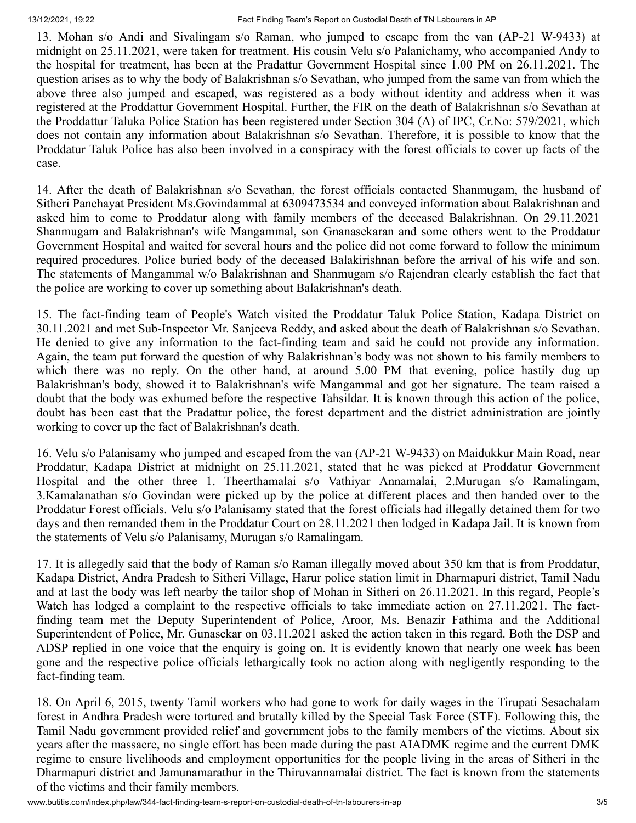13. Mohan s/o Andi and Sivalingam s/o Raman, who jumped to escape from the van (AP-21 W-9433) at midnight on 25.11.2021, were taken for treatment. His cousin Velu s/o Palanichamy, who accompanied Andy to the hospital for treatment, has been at the Pradattur Government Hospital since 1.00 PM on 26.11.2021. The question arises as to why the body of Balakrishnan s/o Sevathan, who jumped from the same van from which the above three also jumped and escaped, was registered as a body without identity and address when it was registered at the Proddattur Government Hospital. Further, the FIR on the death of Balakrishnan s/o Sevathan at the Proddattur Taluka Police Station has been registered under Section 304 (A) of IPC, Cr.No: 579/2021, which does not contain any information about Balakrishnan s/o Sevathan. Therefore, it is possible to know that the Proddatur Taluk Police has also been involved in a conspiracy with the forest officials to cover up facts of the case.

14. After the death of Balakrishnan s/o Sevathan, the forest officials contacted Shanmugam, the husband of Sitheri Panchayat President Ms.Govindammal at 6309473534 and conveyed information about Balakrishnan and asked him to come to Proddatur along with family members of the deceased Balakrishnan. On 29.11.2021 Shanmugam and Balakrishnan's wife Mangammal, son Gnanasekaran and some others went to the Proddatur Government Hospital and waited for several hours and the police did not come forward to follow the minimum required procedures. Police buried body of the deceased Balakirishnan before the arrival of his wife and son. The statements of Mangammal w/o Balakrishnan and Shanmugam s/o Rajendran clearly establish the fact that the police are working to cover up something about Balakrishnan's death.

15. The fact-finding team of People's Watch visited the Proddatur Taluk Police Station, Kadapa District on 30.11.2021 and met Sub-Inspector Mr. Sanjeeva Reddy, and asked about the death of Balakrishnan s/o Sevathan. He denied to give any information to the fact-finding team and said he could not provide any information. Again, the team put forward the question of why Balakrishnan's body was not shown to his family members to which there was no reply. On the other hand, at around 5.00 PM that evening, police hastily dug up Balakrishnan's body, showed it to Balakrishnan's wife Mangammal and got her signature. The team raised a doubt that the body was exhumed before the respective Tahsildar. It is known through this action of the police, doubt has been cast that the Pradattur police, the forest department and the district administration are jointly working to cover up the fact of Balakrishnan's death.

16. Velu s/o Palanisamy who jumped and escaped from the van (AP-21 W-9433) on Maidukkur Main Road, near Proddatur, Kadapa District at midnight on 25.11.2021, stated that he was picked at Proddatur Government Hospital and the other three 1. Theerthamalai s/o Vathiyar Annamalai, 2.Murugan s/o Ramalingam, 3.Kamalanathan s/o Govindan were picked up by the police at different places and then handed over to the Proddatur Forest officials. Velu s/o Palanisamy stated that the forest officials had illegally detained them for two days and then remanded them in the Proddatur Court on 28.11.2021 then lodged in Kadapa Jail. It is known from the statements of Velu s/o Palanisamy, Murugan s/o Ramalingam.

17. It is allegedly said that the body of Raman s/o Raman illegally moved about 350 km that is from Proddatur, Kadapa District, Andra Pradesh to Sitheri Village, Harur police station limit in Dharmapuri district, Tamil Nadu and at last the body was left nearby the tailor shop of Mohan in Sitheri on 26.11.2021. In this regard, People's Watch has lodged a complaint to the respective officials to take immediate action on 27.11.2021. The factfinding team met the Deputy Superintendent of Police, Aroor, Ms. Benazir Fathima and the Additional Superintendent of Police, Mr. Gunasekar on 03.11.2021 asked the action taken in this regard. Both the DSP and ADSP replied in one voice that the enquiry is going on. It is evidently known that nearly one week has been gone and the respective police officials lethargically took no action along with negligently responding to the fact-finding team.

18. On April 6, 2015, twenty Tamil workers who had gone to work for daily wages in the Tirupati Sesachalam forest in Andhra Pradesh were tortured and brutally killed by the Special Task Force (STF). Following this, the Tamil Nadu government provided relief and government jobs to the family members of the victims. About six years after the massacre, no single effort has been made during the past AIADMK regime and the current DMK regime to ensure livelihoods and employment opportunities for the people living in the areas of Sitheri in the Dharmapuri district and Jamunamarathur in the Thiruvannamalai district. The fact is known from the statements of the victims and their family members.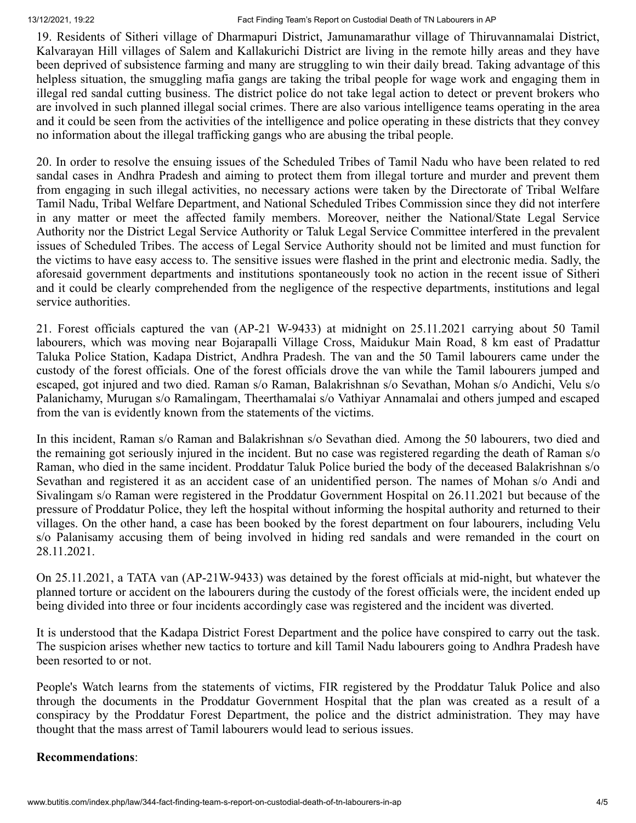13/12/2021, 19:22 Fact Finding Team's Report on Custodial Death of TN Labourers in AP

19. Residents of Sitheri village of Dharmapuri District, Jamunamarathur village of Thiruvannamalai District, Kalvarayan Hill villages of Salem and Kallakurichi District are living in the remote hilly areas and they have been deprived of subsistence farming and many are struggling to win their daily bread. Taking advantage of this helpless situation, the smuggling mafia gangs are taking the tribal people for wage work and engaging them in illegal red sandal cutting business. The district police do not take legal action to detect or prevent brokers who are involved in such planned illegal social crimes. There are also various intelligence teams operating in the area and it could be seen from the activities of the intelligence and police operating in these districts that they convey no information about the illegal trafficking gangs who are abusing the tribal people.

20. In order to resolve the ensuing issues of the Scheduled Tribes of Tamil Nadu who have been related to red sandal cases in Andhra Pradesh and aiming to protect them from illegal torture and murder and prevent them from engaging in such illegal activities, no necessary actions were taken by the Directorate of Tribal Welfare Tamil Nadu, Tribal Welfare Department, and National Scheduled Tribes Commission since they did not interfere in any matter or meet the affected family members. Moreover, neither the National/State Legal Service Authority nor the District Legal Service Authority or Taluk Legal Service Committee interfered in the prevalent issues of Scheduled Tribes. The access of Legal Service Authority should not be limited and must function for the victims to have easy access to. The sensitive issues were flashed in the print and electronic media. Sadly, the aforesaid government departments and institutions spontaneously took no action in the recent issue of Sitheri and it could be clearly comprehended from the negligence of the respective departments, institutions and legal service authorities.

21. Forest officials captured the van (AP-21 W-9433) at midnight on 25.11.2021 carrying about 50 Tamil labourers, which was moving near Bojarapalli Village Cross, Maidukur Main Road, 8 km east of Pradattur Taluka Police Station, Kadapa District, Andhra Pradesh. The van and the 50 Tamil labourers came under the custody of the forest officials. One of the forest officials drove the van while the Tamil labourers jumped and escaped, got injured and two died. Raman s/o Raman, Balakrishnan s/o Sevathan, Mohan s/o Andichi, Velu s/o Palanichamy, Murugan s/o Ramalingam, Theerthamalai s/o Vathiyar Annamalai and others jumped and escaped from the van is evidently known from the statements of the victims.

In this incident, Raman s/o Raman and Balakrishnan s/o Sevathan died. Among the 50 labourers, two died and the remaining got seriously injured in the incident. But no case was registered regarding the death of Raman s/o Raman, who died in the same incident. Proddatur Taluk Police buried the body of the deceased Balakrishnan s/o Sevathan and registered it as an accident case of an unidentified person. The names of Mohan s/o Andi and Sivalingam s/o Raman were registered in the Proddatur Government Hospital on 26.11.2021 but because of the pressure of Proddatur Police, they left the hospital without informing the hospital authority and returned to their villages. On the other hand, a case has been booked by the forest department on four labourers, including Velu s/o Palanisamy accusing them of being involved in hiding red sandals and were remanded in the court on 28.11.2021.

On 25.11.2021, a TATA van (AP-21W-9433) was detained by the forest officials at mid-night, but whatever the planned torture or accident on the labourers during the custody of the forest officials were, the incident ended up being divided into three or four incidents accordingly case was registered and the incident was diverted.

It is understood that the Kadapa District Forest Department and the police have conspired to carry out the task. The suspicion arises whether new tactics to torture and kill Tamil Nadu labourers going to Andhra Pradesh have been resorted to or not.

People's Watch learns from the statements of victims, FIR registered by the Proddatur Taluk Police and also through the documents in the Proddatur Government Hospital that the plan was created as a result of a conspiracy by the Proddatur Forest Department, the police and the district administration. They may have thought that the mass arrest of Tamil labourers would lead to serious issues.

## **Recommendations**: